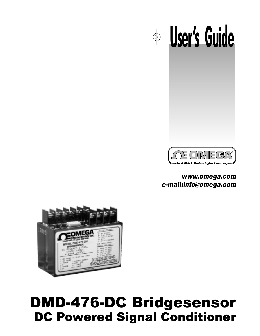# DMD-476-DC Bridgesensor DC Powered Signal Conditioner



### www.omega.com e-mail:info@omega.com



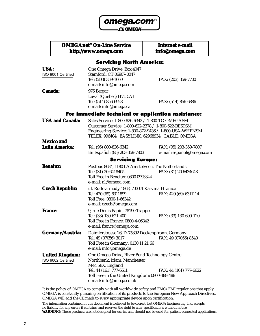

. O OMEGA<sup>®</sup>

#### **OMEGAnet<sup>®</sup> On-Line Service http://www.omega.com**

**Internet e-mail info@omega.com**

#### **Servicing North America:**

| USA:<br>ISO 9001 Certified                   | One Omega Drive, Box 4047<br>Stamford, CT 06907-0047<br>Tel: (203) 359-1660<br>e-mail: info@omega.com                                                                                                              | FAX: (203) 359-7700                                 |
|----------------------------------------------|--------------------------------------------------------------------------------------------------------------------------------------------------------------------------------------------------------------------|-----------------------------------------------------|
| <b>Canada:</b>                               | 976 Bergar<br>Laval (Quebec) H7L 5A1<br>Tel: (514) 856-6928<br>e-mail: info@omega.ca                                                                                                                               | FAX: (514) 856-6886                                 |
|                                              | For immediate technical or application assistance:                                                                                                                                                                 |                                                     |
| <b>USA and Canada:</b>                       | Sales Service: 1-800-826-6342 / 1-800-TC-OMEGASM<br>Customer Service: 1-800-622-2378 / 1-800-622-BESTSM<br>Engineering Service: 1-800-872-9436 / 1-800-USA-WHENSM<br>TELEX: 996404 EASYLINK: 62968934 CABLE: OMEGA |                                                     |
| <b>Mexico and</b>                            |                                                                                                                                                                                                                    |                                                     |
| <b>Latin America:</b>                        | Tel: (95) 800-826-6342<br>En Español: (95) 203-359-7803                                                                                                                                                            | FAX: (95) 203-359-7807<br>e-mail: espanol@omega.com |
|                                              | <b>Servicing Europe:</b>                                                                                                                                                                                           |                                                     |
| <b>Benelux:</b>                              | Postbus 8034, 1180 LA Amstelveen, The Netherlands<br>Tel: (31) 20 6418405<br>Toll Free in Benelux: 0800 0993344<br>e-mail: nl@omega.com                                                                            | FAX: (31) 20 6434643                                |
| <b>Czech Republic:</b>                       | ul. Rude armady 1868, 733 01 Karvina-Hranice<br>Tel: 420 (69) 6311899<br>Toll Free: 0800-1-66342<br>e-mail: czech@omega.com                                                                                        | FAX: 420 (69) 6311114                               |
| <b>France:</b>                               | 9, rue Denis Papin, 78190 Trappes<br>Tel: (33) 130-621-400<br>Toll Free in France: 0800-4-06342<br>e-mail: france@omega.com                                                                                        | FAX: (33) 130-699-120                               |
| <b>Germany/Austria:</b>                      | Daimlerstrasse 26, D-75392 Deckenpfronn, Germany<br>Tel: 49 (07056) 3017<br>Toll Free in Germany: 0130 11 21 66<br>e-mail: info@omega.de                                                                           | FAX: 49 (07056) 8540                                |
| <b>United Kingdom:</b><br>ISO 9002 Certified | One Omega Drive, River Bend Technology Centre<br>Northbank, Irlam, Manchester<br>M44 5EX, England<br>Tel: 44 (161) 777-6611<br>Toll Free in the United Kingdom: 0800-488-488<br>e-mail: info@omega.co.uk           | FAX: 44 (161) 777-6622                              |

It is the policy of OMEGA to comply with all worldwide safety and EMC/EMI regulations that apply. OMEGA is constantly pursuing certification of its products to the European New Approach Directives. OMEGA will add the CE mark to every appropriate device upon certification.

The information contained in this document is believed to be correct, but OMEGA Engineering, Inc. accepts no liability for any errors it contains, and reserves the right to alter specifications without notice. **WARNING**: These products are not designed for use in, and should not be used for, patient-connected applications.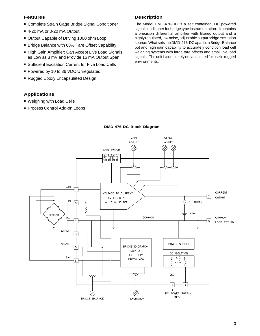#### **Features**

- **E** Complete Strain Gage Bridge Signal Conditioner
- 4-20 mA or 0-20 mA Output
- **.** Output Capable of Driving 1000 ohm Loop
- **E** Bridge Balance with 68% Tare Offset Capability
- **E** High Gain Amplifier; Can Accept Live Load Signals as Low as 3 mV and Provide 16 mA Output Span
- **E.** Sufficient Excitation Current for Five Load Cells
- **Powered by 10 to 36 VDC Unregulated**
- Rugged Epoxy Encapsulated Design

#### **Applications**

- **. Weighing with Load Cells**
- **Process Control Add-on Loops**

#### **Description**

The Model DMD-476-DC is a self contained, DC powered signal conditioner for bridge type instrumentation. It contains a precision differential amplifier with filtered output and a highly regulated, low noise, adjustable output bridge excitation source. What sets the DMD-476-DC apart is a Bridge Balance pot and high gain capability to accurately condition load cell weighing systems with large tare offsets and small live load signals. The unit is completely encapsulated for use in rugged environments.



#### **DMD-476-DC Block Diagram**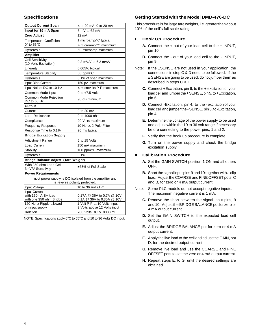| <b>Output Current Span</b>                                                                 | 4 to 20 mA; 0 to 20 mA                                 |  |  |  |
|--------------------------------------------------------------------------------------------|--------------------------------------------------------|--|--|--|
| Input for 16 mA Span                                                                       | 3 mV to 62 mV                                          |  |  |  |
| Zero Adjust                                                                                | 12 mA                                                  |  |  |  |
| <b>Temperature Coefficient</b>                                                             | 1 microamp/°C typical                                  |  |  |  |
| $0^\circ$ to 55 $^\circ$ C                                                                 | 4 microamp/°C maximium                                 |  |  |  |
| Hysteresis                                                                                 | 50 microamp maximum                                    |  |  |  |
| <b>Amplifier</b>                                                                           |                                                        |  |  |  |
| <b>Cell Sensitivity</b><br>(10 Volts Excitation)                                           | $0.3$ mV/V to 6.2 mV/V                                 |  |  |  |
| Linearity                                                                                  | 0.005% typical                                         |  |  |  |
| Temperature Stability                                                                      | 50 ppm/°C                                              |  |  |  |
| <b>Hysteresis</b>                                                                          | 0.1% of span maximum                                   |  |  |  |
| Input Bias Current                                                                         | 150 pA maximum                                         |  |  |  |
| Input Noise: DC to 10 Hz                                                                   | 4 microvolts P-P maximum                               |  |  |  |
| Common Mode Input                                                                          | $0$ to $+7.5$ Volts                                    |  |  |  |
| Common Mode Rejection<br>DC to 60 Hz                                                       | 90 dB minimum                                          |  |  |  |
| Output                                                                                     |                                                        |  |  |  |
| Current                                                                                    | 0 to 20 mA                                             |  |  |  |
| Loop Resistance                                                                            | 0 to 1000 ohm                                          |  |  |  |
| Compliance                                                                                 | 20 Volts maximum                                       |  |  |  |
| <b>Frequency Response</b>                                                                  | 10 Hertz, 2 Pole Filter                                |  |  |  |
| Response Time to 0.1%                                                                      | 90 ms typical                                          |  |  |  |
| <b>Bridge Excitation Supply</b>                                                            |                                                        |  |  |  |
| Adjustment Range                                                                           | 5 to 15 Volts                                          |  |  |  |
| Load Current                                                                               | 150 mA maximum                                         |  |  |  |
| Stability                                                                                  | 100 ppm/°C maximum                                     |  |  |  |
| <b>Hysteresis</b>                                                                          | 0.1%                                                   |  |  |  |
| <b>Bridge Balance Adjust- (Tare Weight)</b>                                                |                                                        |  |  |  |
| With 350 ohm Load Cell<br>3mV/V Sensitivity                                                | ±68% of Full Scale                                     |  |  |  |
| <b>Power Requirements</b>                                                                  |                                                        |  |  |  |
| Input power supply is DC isolated from the amplifier and<br>is reverse polarity protected. |                                                        |  |  |  |
| Input Voltage                                                                              | 10 to 36 Volts DC                                      |  |  |  |
| Input Current<br>with 150mA B+ load<br>with one 350 ohm Bridge                             | 0.17A @ 36V to 0.7A @ 10V<br>0.1A @ 36V to 0.35A @ 10V |  |  |  |
| 120 Hertz Ripple allowed                                                                   | 1 Volt P-P at 10 Volts input                           |  |  |  |
| on input supply<br><b>Isolation</b>                                                        | 2 Volts above 12 Volts input                           |  |  |  |
|                                                                                            | 700 Volts DC & .0033 mF                                |  |  |  |

NOTE: Specifications apply 0°C to 55°C and 10 to 36 Volts DC input.

#### **Specifications Getting Started with the Model DMD-476-DC**

This procedure is for large tare weights, i.e. greater than about 10% of the cell's full scale rating.

#### **I. Hook Up Procedure**

- **A.** Connect the + out of your load cell to the + INPUT, pin 10.
- **B.** Connect the out of your load cell to the INPUT, pin 9.
- Note: If the ±SENSE are not used in your application, the connections in stepC&D need to be followed. If the  $\pm$  SENSE are going to be used, do not jumper them as described in steps C & D.
	- **C.** Connect +Excitation, pin 6, to the + excitation of your load cell and jumper the + SENSE, pin 5, to +Excitation, pin 6.
	- **D.** Connect -Excitation, pin 4, to the excitation of your load cell and jumper the - SENSE, pin 3, to -Excitation, pin 4.
	- **E.** Determine the voltage of the power supply to be used and adjust within the 10 to 36 volt range if necessary before connecting to the power pins, 1 and 2.
	- **F.** Verify that the hook up procedure is complete.
	- **G.** Turn on the power supply and check the bridge excitation supply.

#### **II. Calibration Procedure**

- **A.** Set the GAIN SWITCH position 1 ON and all others OFF.
- **B.** Short the signal input pins 9 and 10 together with a clip lead. Adjust the COARSE and FINE OFFSET pots, C and B, for zero or 4 mA output current.
- Note: Some PLC models do not accept negative inputs. The maximum negative current is 1 mA.
	- **C.** Remove the short between the signal input pins, 9 and 10. Adjust the BRIDGE BALANCE pot for zero or 4 mA output current.
	- **D.** Set the GAIN SWITCH to the expected load cell output.
	- **E.** Adjust the BRIDGE BALANCE pot for zero or 4 mA output current.
	- **F.** Apply the live load to the cell and adjust the GAIN, pot D, for the desired output current.
	- **G.** Remove live load and use the COARSE and FINE OFFSET pots to set the zero or 4 mA output current.
	- **H.** Repeat steps E. to G. until the desired settings are obtained.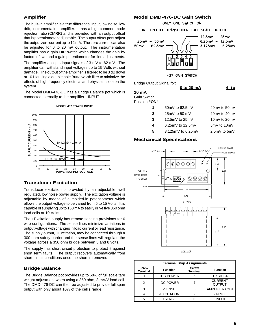#### **Amplifier**

The built-in amplifier is a true differential input, low noise, low drift, instrumentation amplifier. It has a high common mode rejection ratio (CMRR) and is provided with an output offset that is potentiometer adjustable. The output offset pots adjust the output zero current up to 12 mA. The zero current can also be adjusted for 0 to 20 mA output. The instrumentation amplifier has a gain DIP switch which changes the gain by factors of two and a gain potentiometer for fine adjustments.

The amplifier accepts input signals of 3 mV to 62 mV. The amplifier can withstand input voltages up to 15 Volts without damage. The output of the amplifier is filtered to be 3 dB down at 10 Hz using a double pole Butterworth filter to minimize the effects of high frequency electrical and physical noise on the system.

The Model DMD-476-DC has a Bridge Balance pot which is connected internally to the amplifier - INPUT.

#### **MODEL 437 POWER INPUT**



#### **Transducer Excitation**

Transducer excitation is provided by an adjustable, well regulated, low noise power supply. The excitation voltage is adjustable by means of a molded-in potentiometer which allows the output voltage to be varied from 5 to 15 Volts. It is capable of supplying up to 150 mA to easily drive five 350 ohm load cells at 10 Volts.

The +Excitation supply has remote sensing provisions for 6 wire configurations. The sense lines minimize variations in output voltage with changes in load current or lead resistance. The supply output, +Excitation, may be connected through a 300 ohm safety barrier and the sense lines will regulate the voltage across a 350 ohm bridge between 5 and 8 volts.

The supply has short circuit protection to protect it against short term faults. The output recovers automatically from short circuit conditions once the short is removed.

#### **Bridge Balance**

The Bridge Balance pot provides up to 68% of full scale tare weight adjustment when using a 350 ohm, 3 mV/V load cell. The DMD-476-DC can then be adjusted to provide full span output with only about 10% of the cell's range.

#### **Model DMD-476-DC Gain Switch**

ONLY ONE SWITCH ON

FOR EXPECTED TRANSDUCER FULL SCALE OUTPUT



Bridge Output Signal for:

#### **0 to 20 mA 4 to**

#### **20 mA**

Gain Switch Position **"ON"**:

| 1 | 50mV to 62.5mV     | 40mV to 50mV     |
|---|--------------------|------------------|
| 2 | $25mV$ to 50 mV    | 20mV to 40mV     |
| 3 | 12.5mV to 25mV     | 10mV to 20mV     |
| 4 | $6.25mV$ to 12.5mV | 5mV to 10mV      |
| 5 | 3.125mV to 6.25mV  | $2.5mV$ to $5mV$ |
|   |                    |                  |



| <b>Terminal Strip Assignments</b> |                 |                                 |                                 |  |  |  |
|-----------------------------------|-----------------|---------------------------------|---------------------------------|--|--|--|
| <b>Screw</b><br><b>Terminal</b>   | <b>Function</b> | <b>Screw</b><br><b>Terminal</b> | <b>Function</b>                 |  |  |  |
|                                   | +DC POWER       | 6                               | +EXCITION                       |  |  |  |
| 2                                 | -DC POWER       |                                 | <b>CURRENT</b><br><b>OUTPUT</b> |  |  |  |
| 3                                 | -SENSE          | 8                               | <b>AMPLIFIER CMN</b>            |  |  |  |
|                                   | -EXCITATION     | 9                               | -INPUT                          |  |  |  |
| 5                                 | +SENSE          |                                 | +INPUT                          |  |  |  |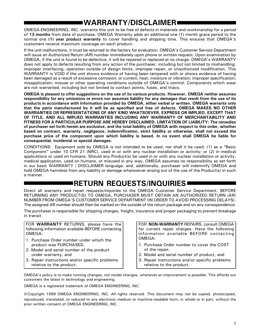## **WARRANTY/DISCLAIMER**

OMEGA ENGINEERING, INC. warrants this unit to be free of defects in materials and workmanship for a period of **13 months** from date of purchase. OMEGA Warranty adds an additional one (1) month grace period to the normal one **(1) year product warranty** to cover handling and shipping time. This ensures that OMEGA's customers receive maximum coverage on each product.

If the unit malfunctions, it must be returned to the factory for evaluation. OMEGA's Customer Service Department will issue an Authorized Return (AR) number immediately upon phone or written request. Upon examination by OMEGA, if the unit is found to be defective, it will be repaired or replaced at no charge. OMEGA's WARRANTY does not apply to defects resulting from any action of the purchaser, including but not limited to mishandling, improper interfacing, operation outside of design limits, improper repair, or unauthorized modification. This WARRANTY is VOID if the unit shows evidence of having been tampered with or shows evidence of having been damaged as a result of excessive corrosion; or current, heat, moisture or vibration; improper specification; misapplication; misuse or other operating conditions outside of OMEGA's control. Components which wear are not warranted, including but not limited to contact points, fuses, and triacs.

**OMEGA is pleased to offer suggestions on the use of its various products. However, OMEGA neither assumes responsibility for any omissions or errors nor assumes liability for any damages that result from the use of its products in accordance with information provided by OMEGA, either verbal or written. OMEGA warrants only that the parts manufactured by it will be as specified and free of defects. OMEGA MAKES NO OTHER WARRANTIES OR REPRESENTATIONS OF ANY KIND WHATSOEVER, EXPRESS OR IMPLIED, EXCEPT THAT OF TITLE, AND ALL IMPLIED WARRANTIES INCLUDING ANY WARRANTY OF MERCHANTABILITY AND FITNESS FOR A PARTICULAR PURPOSE ARE HEREBY DISCLAIMED. LIMITATION OF LIABILITY: The remedies of purchaser set forth herein are exclusive, and the total liability of OMEGA with respect to this order, whether based on contract, warranty, negligence, indemnification, strict liability or otherwise, shall not exceed the purchase price of the component upon which liability is based. In no event shall OMEGA be liable for consequential, incidental or special damages.**

CONDITIONS: Equipment sold by OMEGA is not intended to be used, nor shall it be used: (1) as a "Basic Component" under 10 CFR 21 (NRC), used in or with any nuclear installation or activity; or (2) in medical applications or used on humans. Should any Product(s) be used in or with any nuclear installation or activity, medical application, used on humans, or misused in any way, OMEGA assumes no responsibility as set forth in our basic WARRANTY / DISCLAIMER language, and, additionally, purchaser will indemnify OMEGA and hold OMEGA harmless from any liability or damage whatsoever arising out of the use of the Product(s) in such a manner.

### **RETURN REQUESTS/INQUIRIES**

Direct all warranty and repair requests/inquiries to the OMEGA Customer Service Department. BEFORE RETURNING ANY PRODUCT(S) TO OMEGA, PURCHASER MUST OBTAIN AN AUTHORIZED RETURN (AR) NUMBER FROM OMEGA'S CUSTOMER SERVICE DEPARTMENT (IN ORDER TO AVOID PROCESSING DELAYS). The assigned AR number should then be marked on the outside of the return package and on any correspondence.

The purchaser is responsible for shipping charges, freight, insurance and proper packaging to prevent breakage in transit.

FOR **WARRANTY** RETURNS, please have the following information available BEFORE contacting OMEGA:

- 1. Purchase Order number under which the product was PURCHASED,
- 2. Model and serial number of the product under warranty, and
- 3. Repair instructions and/or specific problems relative to the product.

FOR **NON-WARRANTY** REPAIRS, consult OMEGA for current repair charges. Have the following information available BEFORE contacting OMEGA:

- 1. Purchase Order number to cover the COST of the repair,
- 2. Model and serial number of product, and
- 3. Repair instructions and/or specific problems relative to the product.

OMEGA's policy is to make running changes, not model changes, whenever an improvement is possible. This affords our customers the latest in technology and engineering.

OMEGA is a registered trademark of OMEGA ENGINEERING, INC.

©Copyright 1999 OMEGA ENGINEERING, INC. All rights reserved. This document may not be copied, photocopied, reproduced, translated, or reduced to any electronic medium or machine-readable form, in whole or in part, without the prior written consent of OMEGA ENGINEERING, INC.